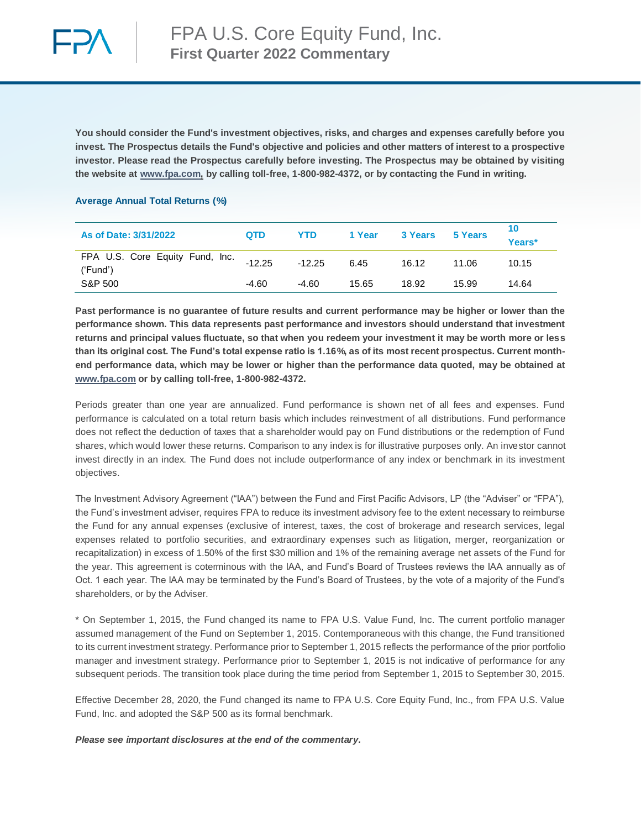

**You should consider the Fund's investment objectives, risks, and charges and expenses carefully before you invest. The Prospectus details the Fund's objective and policies and other matters of interest to a prospective investor. Please read the Prospectus carefully before investing. The Prospectus may be obtained by visiting the website at [www.fpa.com,](http://www.fpa.com/) by calling toll-free, 1-800-982-4372, or by contacting the Fund in writing.**

## **Average Annual Total Returns (%)**

| As of Date: 3/31/2022                       | QTD      | YTD      | 1 Year | 3 Years | 5 Years | 10<br>Years* |
|---------------------------------------------|----------|----------|--------|---------|---------|--------------|
| FPA U.S. Core Equity Fund, Inc.<br>('Fund') | $-12.25$ | $-12.25$ | 6.45   | 16.12   | 11.06   | 10.15        |
| S&P 500                                     | $-4.60$  | $-4.60$  | 15.65  | 18.92   | 15.99   | 14.64        |

**Past performance is no guarantee of future results and current performance may be higher or lower than the performance shown. This data represents past performance and investors should understand that investment returns and principal values fluctuate, so that when you redeem your investment it may be worth more or less than its original cost. The Fund's total expense ratio is 1.16%, as of its most recent prospectus. Current monthend performance data, which may be lower or higher than the performance data quoted, may be obtained at [www.fpa.com](http://www.fpa.com/) or by calling toll-free, 1-800-982-4372.**

Periods greater than one year are annualized. Fund performance is shown net of all fees and expenses. Fund performance is calculated on a total return basis which includes reinvestment of all distributions. Fund performance does not reflect the deduction of taxes that a shareholder would pay on Fund distributions or the redemption of Fund shares, which would lower these returns. Comparison to any index is for illustrative purposes only. An investor cannot invest directly in an index. The Fund does not include outperformance of any index or benchmark in its investment objectives.

The Investment Advisory Agreement ("IAA") between the Fund and First Pacific Advisors, LP (the "Adviser" or "FPA"), the Fund's investment adviser, requires FPA to reduce its investment advisory fee to the extent necessary to reimburse the Fund for any annual expenses (exclusive of interest, taxes, the cost of brokerage and research services, legal expenses related to portfolio securities, and extraordinary expenses such as litigation, merger, reorganization or recapitalization) in excess of 1.50% of the first \$30 million and 1% of the remaining average net assets of the Fund for the year. This agreement is coterminous with the IAA, and Fund's Board of Trustees reviews the IAA annually as of Oct. 1 each year. The IAA may be terminated by the Fund's Board of Trustees, by the vote of a majority of the Fund's shareholders, or by the Adviser.

\* On September 1, 2015, the Fund changed its name to FPA U.S. Value Fund, Inc. The current portfolio manager assumed management of the Fund on September 1, 2015. Contemporaneous with this change, the Fund transitioned to its current investment strategy. Performance prior to September 1, 2015 reflects the performance of the prior portfolio manager and investment strategy. Performance prior to September 1, 2015 is not indicative of performance for any subsequent periods. The transition took place during the time period from September 1, 2015 to September 30, 2015.

Effective December 28, 2020, the Fund changed its name to FPA U.S. Core Equity Fund, Inc., from FPA U.S. Value Fund, Inc. and adopted the S&P 500 as its formal benchmark.

*Please see important disclosures at the end of the commentary.*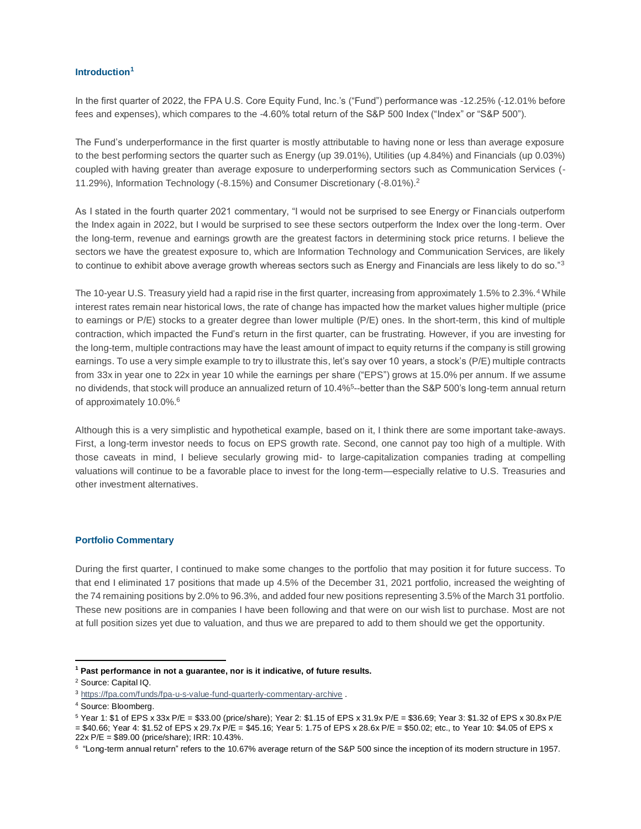## **Introduction<sup>1</sup>**

In the first quarter of 2022, the FPA U.S. Core Equity Fund, Inc.'s ("Fund") performance was -12.25% (-12.01% before fees and expenses), which compares to the -4.60% total return of the S&P 500 Index ("Index" or "S&P 500").

The Fund's underperformance in the first quarter is mostly attributable to having none or less than average exposure to the best performing sectors the quarter such as Energy (up 39.01%), Utilities (up 4.84%) and Financials (up 0.03%) coupled with having greater than average exposure to underperforming sectors such as Communication Services (- 11.29%), Information Technology (-8.15%) and Consumer Discretionary (-8.01%).<sup>2</sup>

As I stated in the fourth quarter 2021 commentary, "I would not be surprised to see Energy or Financials outperform the Index again in 2022, but I would be surprised to see these sectors outperform the Index over the long-term. Over the long-term, revenue and earnings growth are the greatest factors in determining stock price returns. I believe the sectors we have the greatest exposure to, which are Information Technology and Communication Services, are likely to continue to exhibit above average growth whereas sectors such as Energy and Financials are less likely to do so."<sup>3</sup>

The 10-year U.S. Treasury yield had a rapid rise in the first quarter, increasing from approximately 1.5% to 2.3%.<sup>4</sup> While interest rates remain near historical lows, the rate of change has impacted how the market values higher multiple (price to earnings or P/E) stocks to a greater degree than lower multiple (P/E) ones. In the short-term, this kind of multiple contraction, which impacted the Fund's return in the first quarter, can be frustrating. However, if you are investing for the long-term, multiple contractions may have the least amount of impact to equity returns if the company is still growing earnings. To use a very simple example to try to illustrate this, let's say over 10 years, a stock's (P/E) multiple contracts from 33x in year one to 22x in year 10 while the earnings per share ("EPS") grows at 15.0% per annum. If we assume no dividends, that stock will produce an annualized return of 10.4%<sup>5</sup>--better than the S&P 500's long-term annual return of approximately 10.0%.<sup>6</sup>

Although this is a very simplistic and hypothetical example, based on it, I think there are some important take-aways. First, a long-term investor needs to focus on EPS growth rate. Second, one cannot pay too high of a multiple. With those caveats in mind, I believe secularly growing mid- to large-capitalization companies trading at compelling valuations will continue to be a favorable place to invest for the long-term—especially relative to U.S. Treasuries and other investment alternatives.

#### **Portfolio Commentary**

During the first quarter, I continued to make some changes to the portfolio that may position it for future success. To that end I eliminated 17 positions that made up 4.5% of the December 31, 2021 portfolio, increased the weighting of the 74 remaining positions by 2.0% to 96.3%, and added four new positions representing 3.5% of the March 31 portfolio. These new positions are in companies I have been following and that were on our wish list to purchase. Most are not at full position sizes yet due to valuation, and thus we are prepared to add to them should we get the opportunity.

 $\overline{a}$ 

= \$40.66; Year 4: \$1.52 of EPS x 29.7x P/E = \$45.16; Year 5: 1.75 of EPS x 28.6x P/E = \$50.02; etc., to Year 10: \$4.05 of EPS x 22x P/E = \$89.00 (price/share); IRR: 10.43%.

**<sup>1</sup> Past performance in not a guarantee, nor is it indicative, of future results.**

<sup>2</sup> Source: Capital IQ.

<sup>3</sup> <https://fpa.com/funds/fpa-u-s-value-fund-quarterly-commentary-archive> .

<sup>4</sup> Source: Bloomberg.

<sup>5</sup> Year 1: \$1 of EPS x 33x P/E = \$33.00 (price/share); Year 2: \$1.15 of EPS x 31.9x P/E = \$36.69; Year 3: \$1.32 of EPS x 30.8x P/E

<sup>6</sup> "Long-term annual return" refers to the 10.67% average return of the S&P 500 since the inception of its modern structure in 1957.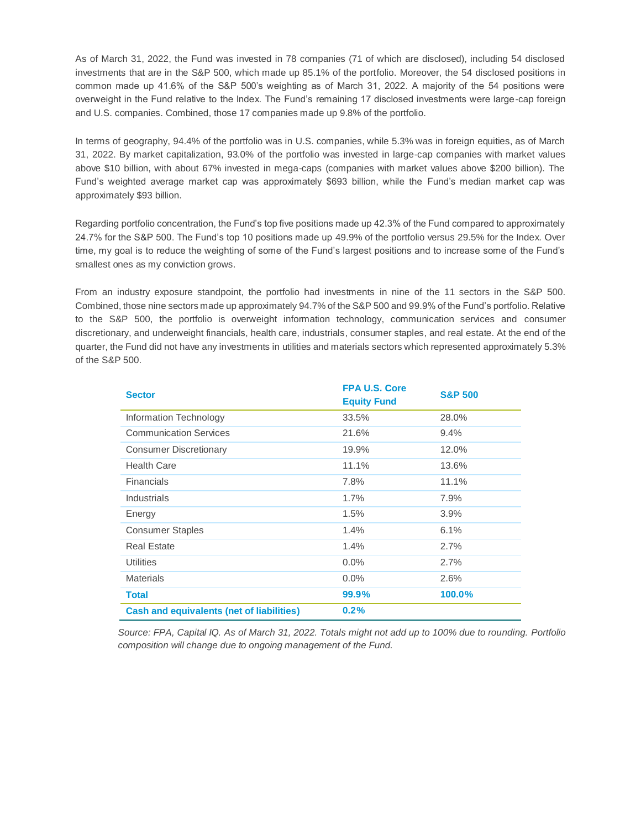As of March 31, 2022, the Fund was invested in 78 companies (71 of which are disclosed), including 54 disclosed investments that are in the S&P 500, which made up 85.1% of the portfolio. Moreover, the 54 disclosed positions in common made up 41.6% of the S&P 500's weighting as of March 31, 2022. A majority of the 54 positions were overweight in the Fund relative to the Index. The Fund's remaining 17 disclosed investments were large-cap foreign and U.S. companies. Combined, those 17 companies made up 9.8% of the portfolio.

In terms of geography, 94.4% of the portfolio was in U.S. companies, while 5.3% was in foreign equities, as of March 31, 2022. By market capitalization, 93.0% of the portfolio was invested in large-cap companies with market values above \$10 billion, with about 67% invested in mega-caps (companies with market values above \$200 billion). The Fund's weighted average market cap was approximately \$693 billion, while the Fund's median market cap was approximately \$93 billion.

Regarding portfolio concentration, the Fund's top five positions made up 42.3% of the Fund compared to approximately 24.7% for the S&P 500. The Fund's top 10 positions made up 49.9% of the portfolio versus 29.5% for the Index. Over time, my goal is to reduce the weighting of some of the Fund's largest positions and to increase some of the Fund's smallest ones as my conviction grows.

From an industry exposure standpoint, the portfolio had investments in nine of the 11 sectors in the S&P 500. Combined, those nine sectors made up approximately 94.7% of the S&P 500 and 99.9% of the Fund's portfolio. Relative to the S&P 500, the portfolio is overweight information technology, communication services and consumer discretionary, and underweight financials, health care, industrials, consumer staples, and real estate. At the end of the quarter, the Fund did not have any investments in utilities and materials sectors which represented approximately 5.3% of the S&P 500.

| <b>Sector</b>                                    | <b>FPA U.S. Core</b> | <b>S&amp;P 500</b> |
|--------------------------------------------------|----------------------|--------------------|
|                                                  | <b>Equity Fund</b>   |                    |
| Information Technology                           | 33.5%                | 28.0%              |
| <b>Communication Services</b>                    | 21.6%                | 9.4%               |
| <b>Consumer Discretionary</b>                    | 19.9%                | 12.0%              |
| <b>Health Care</b>                               | 11.1%                | 13.6%              |
| <b>Financials</b>                                | 7.8%                 | 11.1%              |
| Industrials                                      | 1.7%                 | 7.9%               |
| Energy                                           | 1.5%                 | 3.9%               |
| <b>Consumer Staples</b>                          | 1.4%                 | 6.1%               |
| <b>Real Estate</b>                               | 1.4%                 | 2.7%               |
| <b>Utilities</b>                                 | $0.0\%$              | 2.7%               |
| <b>Materials</b>                                 | $0.0\%$              | 2.6%               |
| <b>Total</b>                                     | 99.9%                | 100.0%             |
| <b>Cash and equivalents (net of liabilities)</b> | 0.2%                 |                    |

*Source: FPA, Capital IQ. As of March 31, 2022. Totals might not add up to 100% due to rounding. Portfolio composition will change due to ongoing management of the Fund.*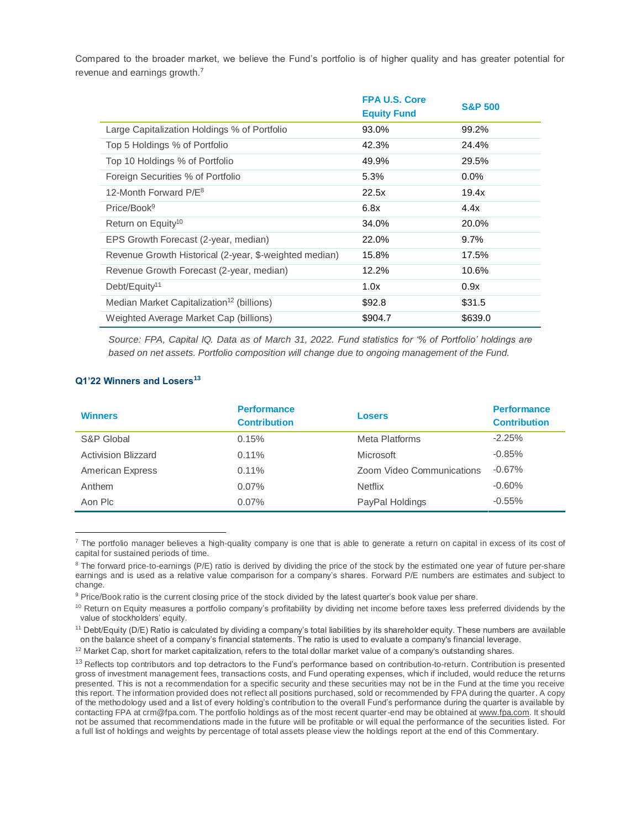Compared to the broader market, we believe the Fund's portfolio is of higher quality and has greater potential for revenue and earnings growth.<sup>7</sup>

|                                                        | <b>FPA U.S. Core</b> | <b>S&amp;P 500</b> |
|--------------------------------------------------------|----------------------|--------------------|
|                                                        | <b>Equity Fund</b>   |                    |
| Large Capitalization Holdings % of Portfolio           | 93.0%                | 99.2%              |
| Top 5 Holdings % of Portfolio                          | 42.3%                | 24.4%              |
| Top 10 Holdings % of Portfolio                         | 49.9%                | 29.5%              |
| Foreign Securities % of Portfolio                      | 5.3%                 | $0.0\%$            |
| 12-Month Forward P/E <sup>8</sup>                      | 22.5x                | 19.4x              |
| Price/Book <sup>9</sup>                                | 6.8x                 | 4.4x               |
| Return on Equity <sup>10</sup>                         | 34.0%                | 20.0%              |
| EPS Growth Forecast (2-year, median)                   | 22.0%                | $9.7\%$            |
| Revenue Growth Historical (2-year, \$-weighted median) | 15.8%                | 17.5%              |
| Revenue Growth Forecast (2-year, median)               | 12.2%                | 10.6%              |
| Debt/Equity <sup>11</sup>                              | 1.0x                 | 0.9x               |
| Median Market Capitalization <sup>12</sup> (billions)  | \$92.8               | \$31.5             |
| Weighted Average Market Cap (billions)                 | \$904.7              | \$639.0            |

*Source: FPA, Capital IQ. Data as of March 31, 2022. Fund statistics for '% of Portfolio' holdings are based on net assets. Portfolio composition will change due to ongoing management of the Fund.* 

## **Q1'22 Winners and Losers<sup>13</sup>**

 $\overline{a}$ 

| <b>Winners</b>             | <b>Performance</b><br><b>Contribution</b> | <b>Losers</b>             | <b>Performance</b><br><b>Contribution</b> |
|----------------------------|-------------------------------------------|---------------------------|-------------------------------------------|
| S&P Global                 | 0.15%                                     | Meta Platforms            | $-2.25%$                                  |
| <b>Activision Blizzard</b> | $0.11\%$                                  | Microsoft                 | $-0.85%$                                  |
| <b>American Express</b>    | $0.11\%$                                  | Zoom Video Communications | $-0.67\%$                                 |
| Anthem                     | $0.07\%$                                  | <b>Netflix</b>            | $-0.60%$                                  |
| Aon Plc                    | 0.07%                                     | PayPal Holdings           | $-0.55%$                                  |

 $7$  The portfolio manager believes a high-quality company is one that is able to generate a return on capital in excess of its cost of capital for sustained periods of time.

<sup>9</sup> Price/Book ratio is the current closing price of the stock divided by the latest quarter's book value per share.

 $12$  Market Cap, short for market capitalization, refers to the total dollar market value of a company's outstanding shares.

<sup>&</sup>lt;sup>8</sup> The forward price-to-earnings (P/E) ratio is derived by dividing the price of the stock by the estimated one year of future per-share earnings and is used as a relative value comparison for a company's shares. Forward P/E numbers are estimates and subject to change.

 $10$  Return on Equity measures a portfolio company's profitability by dividing net income before taxes less preferred dividends by the value of stockholders' equity.

<sup>&</sup>lt;sup>11</sup> Debt/Equity (D/E) Ratio is calculated by dividing a company's total liabilities by its shareholder equity. These numbers are available on the balance sheet of a company's financial statements. The ratio is used to evaluate a company's financial leverage.

 $13$  Reflects top contributors and top detractors to the Fund's performance based on contribution-to-return. Contribution is presented gross of investment management fees, transactions costs, and Fund operating expenses, which if included, would reduce the returns presented. This is not a recommendation for a specific security and these securities may not be in the Fund at the time you receive this report. The information provided does not reflect all positions purchased, sold or recommended by FPA during the quarter. A copy of the methodology used and a list of every holding's contribution to the overall Fund's performance during the quarter is available by contacting FPA at crm@fpa.com. The portfolio holdings as of the most recent quarter-end may be obtained a[t www.fpa.com.](http://www.fpa.com/) It should not be assumed that recommendations made in the future will be profitable or will equal the performance of the securities listed. For a full list of holdings and weights by percentage of total assets please view the holdings report at the end of this Commentary.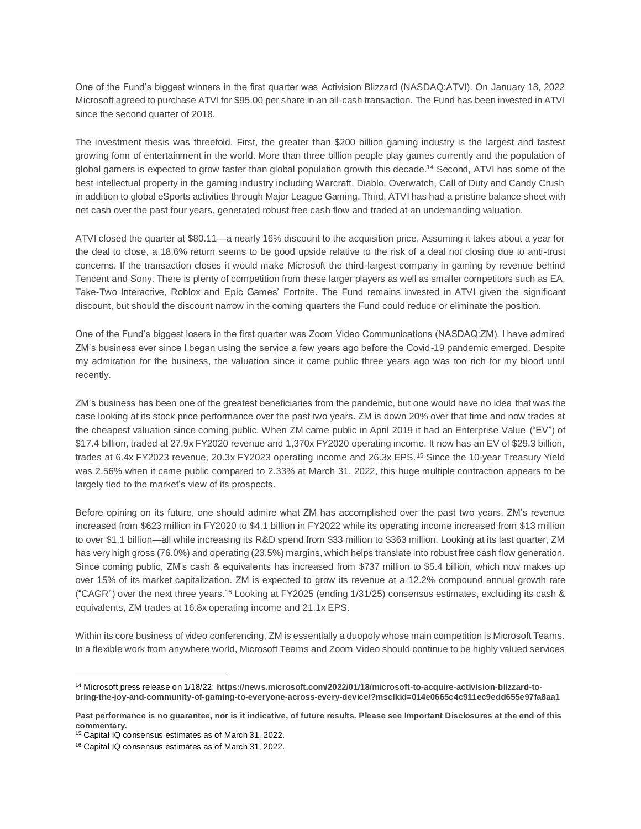One of the Fund's biggest winners in the first quarter was Activision Blizzard (NASDAQ:ATVI). On January 18, 2022 Microsoft agreed to purchase ATVI for \$95.00 per share in an all-cash transaction. The Fund has been invested in ATVI since the second quarter of 2018.

The investment thesis was threefold. First, the greater than \$200 billion gaming industry is the largest and fastest growing form of entertainment in the world. More than three billion people play games currently and the population of global gamers is expected to grow faster than global population growth this decade.<sup>14</sup> Second, ATVI has some of the best intellectual property in the gaming industry including Warcraft, Diablo, Overwatch, Call of Duty and Candy Crush in addition to global eSports activities through Major League Gaming. Third, ATVI has had a pristine balance sheet with net cash over the past four years, generated robust free cash flow and traded at an undemanding valuation.

ATVI closed the quarter at \$80.11—a nearly 16% discount to the acquisition price. Assuming it takes about a year for the deal to close, a 18.6% return seems to be good upside relative to the risk of a deal not closing due to anti-trust concerns. If the transaction closes it would make Microsoft the third-largest company in gaming by revenue behind Tencent and Sony. There is plenty of competition from these larger players as well as smaller competitors such as EA, Take-Two Interactive, Roblox and Epic Games' Fortnite. The Fund remains invested in ATVI given the significant discount, but should the discount narrow in the coming quarters the Fund could reduce or eliminate the position.

One of the Fund's biggest losers in the first quarter was Zoom Video Communications (NASDAQ:ZM). I have admired ZM's business ever since I began using the service a few years ago before the Covid-19 pandemic emerged. Despite my admiration for the business, the valuation since it came public three years ago was too rich for my blood until recently.

ZM's business has been one of the greatest beneficiaries from the pandemic, but one would have no idea that was the case looking at its stock price performance over the past two years. ZM is down 20% over that time and now trades at the cheapest valuation since coming public. When ZM came public in April 2019 it had an Enterprise Value ("EV") of \$17.4 billion, traded at 27.9x FY2020 revenue and 1,370x FY2020 operating income. It now has an EV of \$29.3 billion, trades at 6.4x FY2023 revenue, 20.3x FY2023 operating income and 26.3x EPS.<sup>15</sup> Since the 10-year Treasury Yield was 2.56% when it came public compared to 2.33% at March 31, 2022, this huge multiple contraction appears to be largely tied to the market's view of its prospects.

Before opining on its future, one should admire what ZM has accomplished over the past two years. ZM's revenue increased from \$623 million in FY2020 to \$4.1 billion in FY2022 while its operating income increased from \$13 million to over \$1.1 billion—all while increasing its R&D spend from \$33 million to \$363 million. Looking at its last quarter, ZM has very high gross (76.0%) and operating (23.5%) margins, which helps translate into robust free cash flow generation. Since coming public, ZM's cash & equivalents has increased from \$737 million to \$5.4 billion, which now makes up over 15% of its market capitalization. ZM is expected to grow its revenue at a 12.2% compound annual growth rate ("CAGR") over the next three years.<sup>16</sup> Looking at FY2025 (ending 1/31/25) consensus estimates, excluding its cash & equivalents, ZM trades at 16.8x operating income and 21.1x EPS.

Within its core business of video conferencing, ZM is essentially a duopoly whose main competition is Microsoft Teams. In a flexible work from anywhere world, Microsoft Teams and Zoom Video should continue to be highly valued services

 $\overline{a}$ <sup>14</sup> Microsoft press release on 1/18/22: **https://news.microsoft.com/2022/01/18/microsoft-to-acquire-activision-blizzard-tobring-the-joy-and-community-of-gaming-to-everyone-across-every-device/?msclkid=014e0665c4c911ec9edd655e97fa8aa1**

**Past performance is no guarantee, nor is it indicative, of future results. Please see Important Disclosures at the end of this commentary.**

<sup>&</sup>lt;sup>15</sup> Capital IQ consensus estimates as of March 31, 2022.

<sup>16</sup> Capital IQ consensus estimates as of March 31, 2022.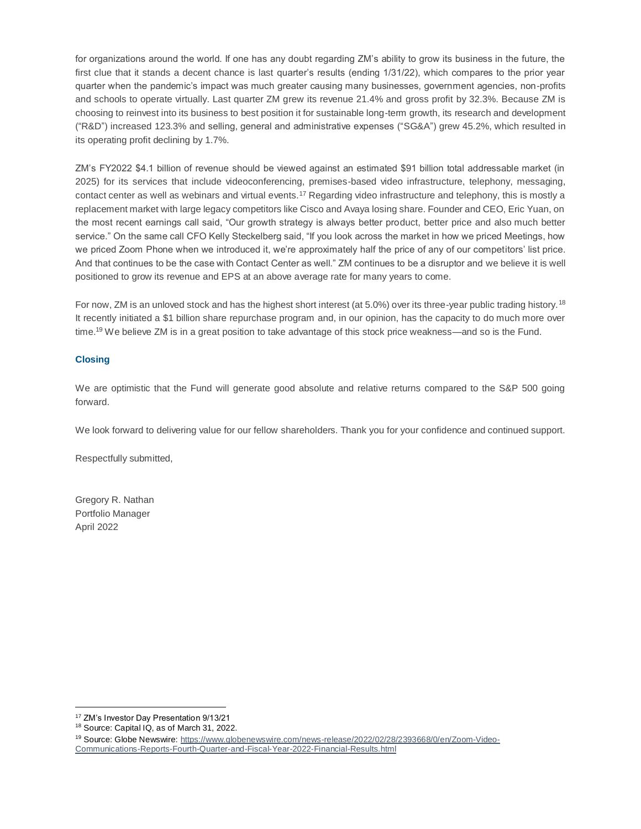for organizations around the world. If one has any doubt regarding ZM's ability to grow its business in the future, the first clue that it stands a decent chance is last quarter's results (ending 1/31/22), which compares to the prior year quarter when the pandemic's impact was much greater causing many businesses, government agencies, non-profits and schools to operate virtually. Last quarter ZM grew its revenue 21.4% and gross profit by 32.3%. Because ZM is choosing to reinvest into its business to best position it for sustainable long-term growth, its research and development ("R&D") increased 123.3% and selling, general and administrative expenses ("SG&A") grew 45.2%, which resulted in its operating profit declining by 1.7%.

ZM's FY2022 \$4.1 billion of revenue should be viewed against an estimated \$91 billion total addressable market (in 2025) for its services that include videoconferencing, premises-based video infrastructure, telephony, messaging, contact center as well as webinars and virtual events.<sup>17</sup> Regarding video infrastructure and telephony, this is mostly a replacement market with large legacy competitors like Cisco and Avaya losing share. Founder and CEO, Eric Yuan, on the most recent earnings call said, "Our growth strategy is always better product, better price and also much better service." On the same call CFO Kelly Steckelberg said, "If you look across the market in how we priced Meetings, how we priced Zoom Phone when we introduced it, we're approximately half the price of any of our competitors' list price. And that continues to be the case with Contact Center as well." ZM continues to be a disruptor and we believe it is well positioned to grow its revenue and EPS at an above average rate for many years to come.

For now, ZM is an unloved stock and has the highest short interest (at 5.0%) over its three-year public trading history.<sup>18</sup> It recently initiated a \$1 billion share repurchase program and, in our opinion, has the capacity to do much more over time.<sup>19</sup> We believe ZM is in a great position to take advantage of this stock price weakness—and so is the Fund.

## **Closing**

We are optimistic that the Fund will generate good absolute and relative returns compared to the S&P 500 going forward.

We look forward to delivering value for our fellow shareholders. Thank you for your confidence and continued support.

Respectfully submitted,

Gregory R. Nathan Portfolio Manager April 2022

 $\overline{a}$ 

<sup>17</sup> ZM's Investor Day Presentation 9/13/21

<sup>18</sup> Source: Capital IQ, as of March 31, 2022.

<sup>&</sup>lt;sup>19</sup> Source: Globe Newswire: [https://www.globenewswire.com/news-release/2022/02/28/2393668/0/en/Zoom-Video-](https://www.globenewswire.com/news-release/2022/02/28/2393668/0/en/Zoom-Video-Communications-Reports-Fourth-Quarter-and-Fiscal-Year-2022-Financial-Results.html)[Communications-Reports-Fourth-Quarter-and-Fiscal-Year-2022-Financial-Results.html](https://www.globenewswire.com/news-release/2022/02/28/2393668/0/en/Zoom-Video-Communications-Reports-Fourth-Quarter-and-Fiscal-Year-2022-Financial-Results.html)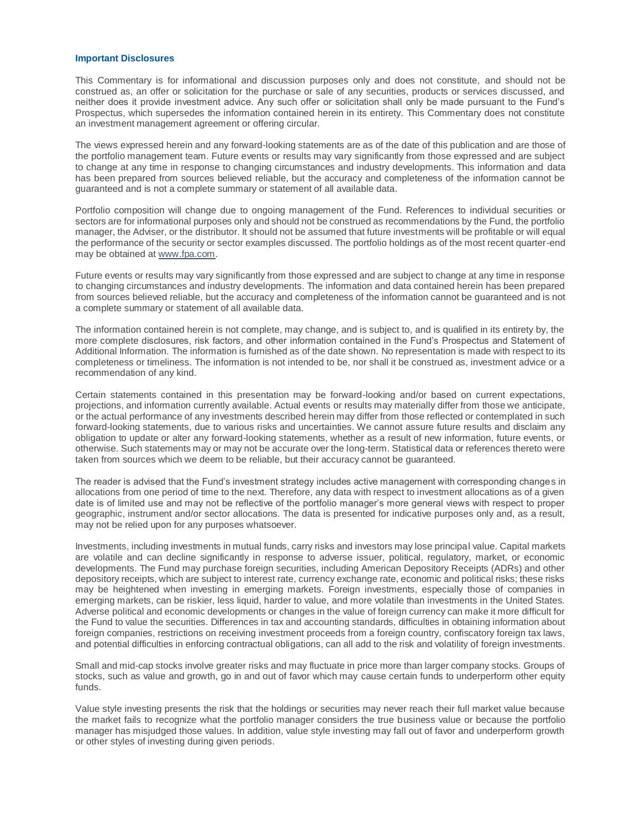#### **Important Disclosures**

This Commentary is for informational and discussion purposes only and does not constitute, and should not be construed as, an offer or solicitation for the purchase or sale of any securities, products or services discussed, and neither does it provide investment advice. Any such offer or solicitation shall only be made pursuant to the Fund's Prospectus, which supersedes the information contained herein in its entirety. This Commentary does not constitute an investment management agreement or offering circular.

The views expressed herein and any forward-looking statements are as of the date of this publication and are those of the portfolio management team. Future events or results may vary significantly from those expressed and are subject to change at any time in response to changing circumstances and industry developments. This information and data has been prepared from sources believed reliable, but the accuracy and completeness of the information cannot be guaranteed and is not a complete summary or statement of all available data.

Portfolio composition will change due to ongoing management of the Fund. References to individual securities or sectors are for informational purposes only and should not be construed as recommendations by the Fund, the portfolio manager, the Adviser, or the distributor. It should not be assumed that future investments will be profitable or will equal the performance of the security or sector examples discussed. The portfolio holdings as of the most recent quarter-end may be obtained at [www.fpa.com.](http://www.fpa.com/)

Future events or results may vary significantly from those expressed and are subject to change at any time in response to changing circumstances and industry developments. The information and data contained herein has been prepared from sources believed reliable, but the accuracy and completeness of the information cannot be guaranteed and is not a complete summary or statement of all available data.

The information contained herein is not complete, may change, and is subject to, and is qualified in its entirety by, the more complete disclosures, risk factors, and other information contained in the Fund's Prospectus and Statement of Additional Information. The information is furnished as of the date shown. No representation is made with respect to its completeness or timeliness. The information is not intended to be, nor shall it be construed as, investment advice or a recommendation of any kind.

Certain statements contained in this presentation may be forward-looking and/or based on current expectations, projections, and information currently available. Actual events or results may materially differ from those we anticipate, or the actual performance of any investments described herein may differ from those reflected or contemplated in such forward-looking statements, due to various risks and uncertainties. We cannot assure future results and disclaim any obligation to update or alter any forward-looking statements, whether as a result of new information, future events, or otherwise. Such statements may or may not be accurate over the long-term. Statistical data or references thereto were taken from sources which we deem to be reliable, but their accuracy cannot be guaranteed.

The reader is advised that the Fund's investment strategy includes active management with corresponding changes in allocations from one period of time to the next. Therefore, any data with respect to investment allocations as of a given date is of limited use and may not be reflective of the portfolio manager's more general views with respect to proper geographic, instrument and/or sector allocations. The data is presented for indicative purposes only and, as a result, may not be relied upon for any purposes whatsoever.

Investments, including investments in mutual funds, carry risks and investors may lose principal value. Capital markets are volatile and can decline significantly in response to adverse issuer, political, regulatory, market, or economic developments. The Fund may purchase foreign securities, including American Depository Receipts (ADRs) and other depository receipts, which are subject to interest rate, currency exchange rate, economic and political risks; these risks may be heightened when investing in emerging markets. Foreign investments, especially those of companies in emerging markets, can be riskier, less liquid, harder to value, and more volatile than investments in the United States. Adverse political and economic developments or changes in the value of foreign currency can make it more difficult for the Fund to value the securities. Differences in tax and accounting standards, difficulties in obtaining information about foreign companies, restrictions on receiving investment proceeds from a foreign country, confiscatory foreign tax laws, and potential difficulties in enforcing contractual obligations, can all add to the risk and volatility of foreign investments.

Small and mid-cap stocks involve greater risks and may fluctuate in price more than larger company stocks. Groups of stocks, such as value and growth, go in and out of favor which may cause certain funds to underperform other equity funds.

Value style investing presents the risk that the holdings or securities may never reach their full market value because the market fails to recognize what the portfolio manager considers the true business value or because the portfolio manager has misjudged those values. In addition, value style investing may fall out of favor and underperform growth or other styles of investing during given periods.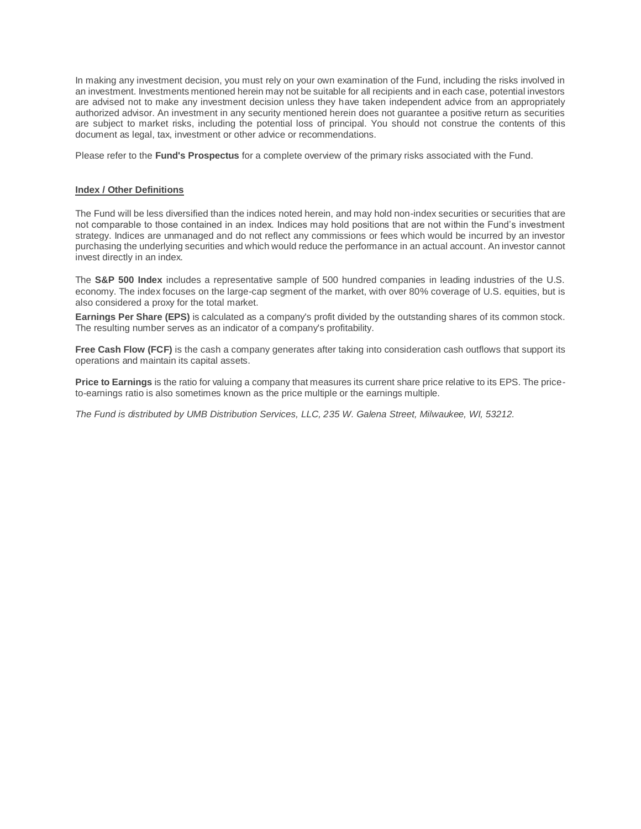In making any investment decision, you must rely on your own examination of the Fund, including the risks involved in an investment. Investments mentioned herein may not be suitable for all recipients and in each case, potential investors are advised not to make any investment decision unless they have taken independent advice from an appropriately authorized advisor. An investment in any security mentioned herein does not guarantee a positive return as securities are subject to market risks, including the potential loss of principal. You should not construe the contents of this document as legal, tax, investment or other advice or recommendations.

Please refer to the **Fund's Prospectus** for a complete overview of the primary risks associated with the Fund.

## **Index / Other Definitions**

The Fund will be less diversified than the indices noted herein, and may hold non-index securities or securities that are not comparable to those contained in an index. Indices may hold positions that are not within the Fund's investment strategy. Indices are unmanaged and do not reflect any commissions or fees which would be incurred by an investor purchasing the underlying securities and which would reduce the performance in an actual account. An investor cannot invest directly in an index.

The **S&P 500 Index** includes a representative sample of 500 hundred companies in leading industries of the U.S. economy. The index focuses on the large-cap segment of the market, with over 80% coverage of U.S. equities, but is also considered a proxy for the total market.

**Earnings Per Share (EPS)** is calculated as a company's profit divided by the outstanding shares of its common stock. The resulting number serves as an indicator of a company's profitability.

**Free Cash Flow (FCF)** is the cash a company generates after taking into consideration cash outflows that support its operations and maintain its capital assets.

**Price to Earnings** is the ratio for valuing a company that measures its current share price relative to its EPS. The priceto-earnings ratio is also sometimes known as the price multiple or the earnings multiple.

*The Fund is distributed by UMB Distribution Services, LLC, 235 W. Galena Street, Milwaukee, WI, 53212.*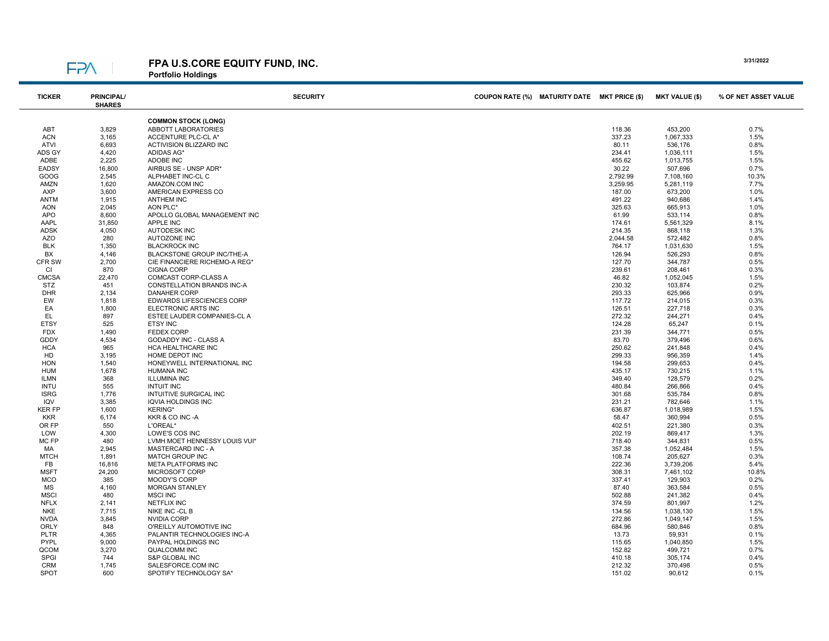# FP<sub>N</sub>

FPA U.S.CORE EQUITY FUND, INC. Portfolio Holdings

| <b>TICKER</b>      | <b>PRINCIPAL/</b><br><b>SHARES</b> | <b>SECURITY</b>                                     | COUPON RATE (%) MATURITY DATE MKT PRICE (\$) |                  | <b>MKT VALUE (\$)</b> | % OF NET ASSET VALUE |
|--------------------|------------------------------------|-----------------------------------------------------|----------------------------------------------|------------------|-----------------------|----------------------|
|                    |                                    | <b>COMMON STOCK (LONG)</b>                          |                                              |                  |                       |                      |
| ABT                | 3,829                              | <b>ABBOTT LABORATORIES</b>                          |                                              | 118.36           | 453,200               | 0.7%                 |
| <b>ACN</b>         | 3,165                              | ACCENTURE PLC-CL A*                                 |                                              | 337.23           | 1,067,333             | 1.5%                 |
| ATVI               | 6,693                              | <b>ACTIVISION BLIZZARD INC</b>                      |                                              | 80.11            | 536,176               | 0.8%                 |
| ADS GY             | 4,420                              | ADIDAS AG*                                          |                                              | 234.41           | 1,036,111             | 1.5%                 |
| ADBE               | 2,225                              | ADOBE INC                                           |                                              | 455.62           | 1,013,755             | 1.5%                 |
| <b>EADSY</b>       | 16,800                             | AIRBUS SE - UNSP ADR*                               |                                              | 30.22            | 507,696               | 0.7%                 |
| GOOG               | 2,545                              | ALPHABET INC-CL C                                   |                                              | 2,792.99         | 7,108,160             | 10.3%                |
| AMZN               | 1,620                              | AMAZON.COM INC                                      |                                              | 3,259.95         | 5,281,119             | 7.7%                 |
| AXP                | 3,600                              | AMERICAN EXPRESS CO                                 |                                              | 187.00           | 673,200               | 1.0%                 |
| ANTM               | 1,915                              | <b>ANTHEM INC</b>                                   |                                              | 491.22           | 940,686               | 1.4%                 |
| AON                | 2,045                              | AON PLC*                                            |                                              | 325.63           | 665,913               | 1.0%                 |
| APO<br>AAPL        | 8,600<br>31,850                    | APOLLO GLOBAL MANAGEMENT INC<br><b>APPLE INC</b>    |                                              | 61.99<br>174.61  | 533,114<br>5,561,329  | 0.8%<br>8.1%         |
| <b>ADSK</b>        | 4,050                              | <b>AUTODESK INC</b>                                 |                                              | 214.35           | 868,118               | 1.3%                 |
| AZO                | 280                                | AUTOZONE INC                                        |                                              | 2,044.58         | 572,482               | 0.8%                 |
| <b>BLK</b>         | 1,350                              | <b>BLACKROCK INC</b>                                |                                              | 764.17           | 1,031,630             | 1.5%                 |
| BX                 | 4,146                              | BLACKSTONE GROUP INC/THE-A                          |                                              | 126.94           | 526,293               | 0.8%                 |
| CFR SW             | 2,700                              | CIE FINANCIERE RICHEMO-A REG'                       |                                              | 127.70           | 344,787               | 0.5%                 |
| CI                 | 870                                | <b>CIGNA CORP</b>                                   |                                              | 239.61           | 208,461               | 0.3%                 |
| <b>CMCSA</b>       | 22,470                             | COMCAST CORP-CLASS A                                |                                              | 46.82            | 1,052,045             | 1.5%                 |
| STZ                | 451                                | CONSTELLATION BRANDS INC-A                          |                                              | 230.32           | 103,874               | 0.2%                 |
| <b>DHR</b>         | 2,134                              | <b>DANAHER CORP</b>                                 |                                              | 293.33           | 625,966               | 0.9%                 |
| EW                 | 1,818                              | EDWARDS LIFESCIENCES CORP                           |                                              | 117.72           | 214,015               | 0.3%                 |
| EA                 | 1,800                              | ELECTRONIC ARTS INC                                 |                                              | 126.51           | 227,718               | 0.3%                 |
| EL                 | 897                                | ESTEE LAUDER COMPANIES-CL A                         |                                              | 272.32           | 244,271               | 0.4%                 |
| <b>ETSY</b>        | 525                                | ETSY INC                                            |                                              | 124.28           | 65,247                | 0.1%                 |
| <b>FDX</b>         | 1,490                              | <b>FEDEX CORP</b>                                   |                                              | 231.39           | 344,771               | 0.5%                 |
| <b>GDDY</b>        | 4,534                              | <b>GODADDY INC - CLASS A</b>                        |                                              | 83.70            | 379,496               | 0.6%                 |
| <b>HCA</b>         | 965                                | HCA HEALTHCARE INC                                  |                                              | 250.62           | 241,848               | 0.4%                 |
| HD                 | 3,195                              | HOME DEPOT INC                                      |                                              | 299.33           | 956,359               | 1.4%                 |
| <b>HON</b>         | 1,540                              | HONEYWELL INTERNATIONAL INC                         |                                              | 194.58           | 299,653               | 0.4%                 |
| <b>HUM</b>         | 1,678                              | <b>HUMANA INC</b>                                   |                                              | 435.17           | 730,215               | 1.1%                 |
| <b>ILMN</b>        | 368                                | <b>ILLUMINA INC</b>                                 |                                              | 349.40           | 128,579               | 0.2%                 |
| <b>INTU</b>        | 555                                | <b>INTUIT INC</b>                                   |                                              | 480.84           | 266,866               | 0.4%                 |
| <b>ISRG</b><br>IQV | 1,776<br>3,385                     | INTUITIVE SURGICAL INC<br><b>IQVIA HOLDINGS INC</b> |                                              | 301.68<br>231.21 | 535,784               | 0.8%<br>1.1%         |
| <b>KER FP</b>      | 1,600                              | <b>KERING*</b>                                      |                                              | 636.87           | 782,646<br>1,018,989  | 1.5%                 |
| <b>KKR</b>         | 6,174                              | KKR & CO INC -A                                     |                                              | 58.47            | 360,994               | 0.5%                 |
| OR FP              | 550                                | L'OREAL*                                            |                                              | 402.51           | 221,380               | 0.3%                 |
| LOW                | 4,300                              | LOWE'S COS INC                                      |                                              | 202.19           | 869,417               | 1.3%                 |
| MC FP              | 480                                | LVMH MOET HENNESSY LOUIS VUI*                       |                                              | 718.40           | 344,831               | 0.5%                 |
| МA                 | 2,945                              | MASTERCARD INC - A                                  |                                              | 357.38           | 1,052,484             | 1.5%                 |
| <b>MTCH</b>        | 1,891                              | <b>MATCH GROUP INC</b>                              |                                              | 108.74           | 205,627               | 0.3%                 |
| FB                 | 16,816                             | <b>META PLATFORMS INC</b>                           |                                              | 222.36           | 3,739,206             | 5.4%                 |
| <b>MSFT</b>        | 24,200                             | MICROSOFT CORP                                      |                                              | 308.31           | 7,461,102             | 10.8%                |
| <b>MCO</b>         | 385                                | MOODY'S CORP                                        |                                              | 337.41           | 129,903               | 0.2%                 |
| <b>MS</b>          | 4,160                              | <b>MORGAN STANLEY</b>                               |                                              | 87.40            | 363,584               | 0.5%                 |
| <b>MSCI</b>        | 480                                | <b>MSCI INC</b>                                     |                                              | 502.88           | 241,382               | 0.4%                 |
| <b>NFLX</b>        | 2,141                              | <b>NETFLIX INC</b>                                  |                                              | 374.59           | 801,997               | 1.2%                 |
| <b>NKE</b>         | 7,715                              | NIKE INC -CL B                                      |                                              | 134.56           | 1,038,130             | 1.5%                 |
| <b>NVDA</b>        | 3,845                              | NVIDIA CORP                                         |                                              | 272.86           | 1,049,147             | 1.5%                 |
| <b>ORLY</b>        | 848                                | O'REILLY AUTOMOTIVE INC                             |                                              | 684.96           | 580,846               | 0.8%                 |
| <b>PLTR</b>        | 4,365                              | PALANTIR TECHNOLOGIES INC-A                         |                                              | 13.73            | 59,931                | 0.1%                 |
| <b>PYPL</b>        | 9,000                              | PAYPAL HOLDINGS INC                                 |                                              | 115.65           | 1,040,850             | 1.5%                 |
| QCOM               | 3,270                              | <b>QUALCOMM INC</b>                                 |                                              | 152.82           | 499,721               | 0.7%                 |
| SPGI               | 744                                | S&P GLOBAL INC                                      |                                              | 410.18           | 305,174               | 0.4%                 |
| CRM                | 1,745                              | SALESFORCE.COM INC                                  |                                              | 212.32           | 370,498               | 0.5%                 |
| <b>SPOT</b>        | 600                                | SPOTIFY TECHNOLOGY SA*                              |                                              | 151.02           | 90,612                | 0.1%                 |

3/31/2022